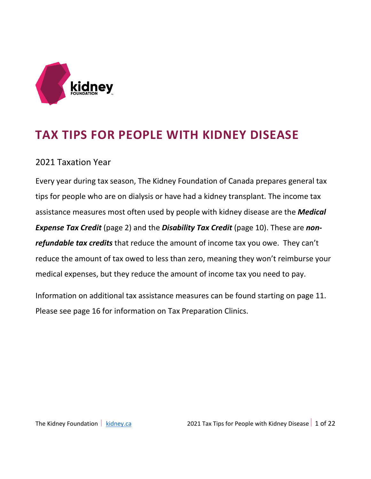

# **TAX TIPS FOR PEOPLE WITH KIDNEY DISEASE**

### 2021 Taxation Year

Every year during tax season, The Kidney Foundation of Canada prepares general tax tips for people who are on dialysis or have had a kidney transplant. The income tax assistance measures most often used by people with kidney disease are the *Medical*  **Expense Tax Credit** (page 2) and the **Disability Tax Credit** (page 10). These are *nonrefundable tax credits* that reduce the amount of income tax you owe. They can't reduce the amount of tax owed to less than zero, meaning they won't reimburse your medical expenses, but they reduce the amount of income tax you need to pay.

Information on additional tax assistance measures can be found starting on page 11. Please see page 16 for information on Tax Preparation Clinics.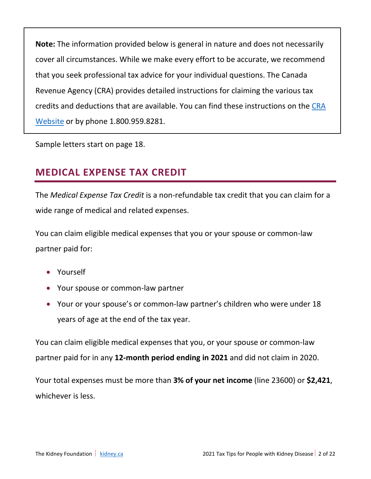**Note:** The information provided below is general in nature and does not necessarily cover all circumstances. While we make every effort to be accurate, we recommend that you seek professional tax advice for your individual questions. The Canada Revenue Agency (CRA) provides detailed instructions for claiming the various tax credits and deductions that are available. You can find these instructions on the [CRA](https://www.canada.ca/en/revenue-agency.html)  [Website](https://www.canada.ca/en/revenue-agency.html) or by phone 1.800.959.8281.

Sample letters start on page 18.

# **MEDICAL EXPENSE TAX CREDIT**

The *Medical Expense Tax Credit* is a non-refundable tax credit that you can claim for a wide range of medical and related expenses.

You can claim eligible medical expenses that you or your spouse or common-law partner paid for:

- Yourself
- Your spouse or common-law partner
- Your or your spouse's or common-law partner's children who were under 18 years of age at the end of the tax year.

You can claim eligible medical expenses that you, or your spouse or common-law partner paid for in any **12-month period ending in 2021** and did not claim in 2020.

Your total expenses must be more than **3% of your net income** (line 23600) or **\$2,421**, whichever is less.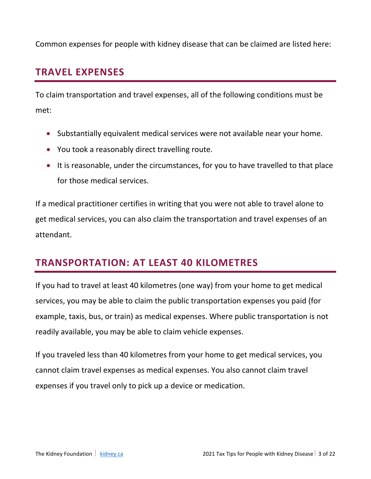Common expenses for people with kidney disease that can be claimed are listed here:

## **TRAVEL EXPENSES**

To claim transportation and travel expenses, all of the following conditions must be met:

- Substantially equivalent medical services were not available near your home.
- You took a reasonably direct travelling route.
- It is reasonable, under the circumstances, for you to have travelled to that place for those medical services.

If a medical practitioner certifies in writing that you were not able to travel alone to get medical services, you can also claim the transportation and travel expenses of an attendant.

## **TRANSPORTATION: AT LEAST 40 KILOMETRES**

If you had to travel at least 40 kilometres (one way) from your home to get medical services, you may be able to claim the public transportation expenses you paid (for example, taxis, bus, or train) as medical expenses. Where public transportation is not readily available, you may be able to claim vehicle expenses.

If you traveled less than 40 kilometres from your home to get medical services, you cannot claim travel expenses as medical expenses. You also cannot claim travel expenses if you travel only to pick up a device or medication.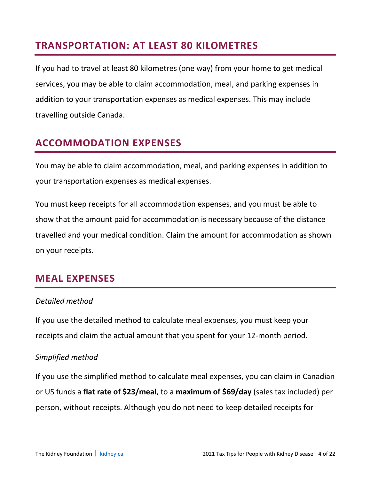## **TRANSPORTATION: AT LEAST 80 KILOMETRES**

If you had to travel at least 80 kilometres (one way) from your home to get medical services, you may be able to claim accommodation, meal, and parking expenses in addition to your transportation expenses as medical expenses. This may include travelling outside Canada.

# **ACCOMMODATION EXPENSES**

You may be able to claim accommodation, meal, and parking expenses in addition to your transportation expenses as medical expenses.

You must keep receipts for all accommodation expenses, and you must be able to show that the amount paid for accommodation is necessary because of the distance travelled and your medical condition. Claim the amount for accommodation as shown on your receipts.

### **MEAL EXPENSES**

#### *Detailed method*

If you use the detailed method to calculate meal expenses, you must keep your receipts and claim the actual amount that you spent for your 12-month period.

#### *Simplified method*

If you use the simplified method to calculate meal expenses, you can claim in Canadian or US funds a **flat rate of \$23/meal**, to a **maximum of \$69/day** (sales tax included) per person, without receipts. Although you do not need to keep detailed receipts for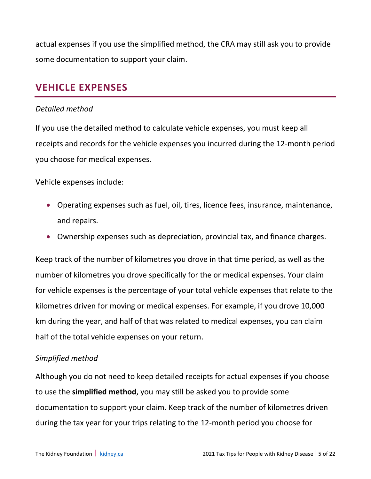actual expenses if you use the simplified method, the CRA may still ask you to provide some documentation to support your claim.

### **VEHICLE EXPENSES**

#### *Detailed method*

If you use the detailed method to calculate vehicle expenses, you must keep all receipts and records for the vehicle expenses you incurred during the 12-month period you choose for medical expenses.

Vehicle expenses include:

- Operating expenses such as fuel, oil, tires, licence fees, insurance, maintenance, and repairs.
- Ownership expenses such as depreciation, provincial tax, and finance charges.

Keep track of the number of kilometres you drove in that time period, as well as the number of kilometres you drove specifically for the or medical expenses. Your claim for vehicle expenses is the percentage of your total vehicle expenses that relate to the kilometres driven for moving or medical expenses. For example, if you drove 10,000 km during the year, and half of that was related to medical expenses, you can claim half of the total vehicle expenses on your return.

#### *Simplified method*

Although you do not need to keep detailed receipts for actual expenses if you choose to use the **simplified method**, you may still be asked you to provide some documentation to support your claim. Keep track of the number of kilometres driven during the tax year for your trips relating to the 12-month period you choose for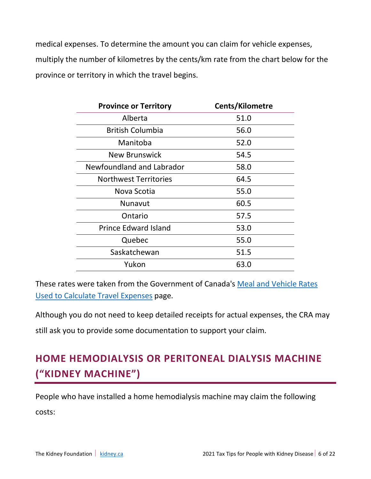medical expenses. To determine the amount you can claim for vehicle expenses, multiply the number of kilometres by the cents/km rate from the chart below for the province or territory in which the travel begins.

| <b>Province or Territory</b> | <b>Cents/Kilometre</b> |
|------------------------------|------------------------|
| Alberta                      | 51.0                   |
| <b>British Columbia</b>      | 56.0                   |
| Manitoba                     | 52.0                   |
| New Brunswick                | 54.5                   |
| Newfoundland and Labrador    | 58.0                   |
| <b>Northwest Territories</b> | 64.5                   |
| Nova Scotia                  | 55.0                   |
| Nunavut                      | 60.5                   |
| Ontario                      | 57.5                   |
| <b>Prince Edward Island</b>  | 53.0                   |
| Quebec                       | 55.0                   |
| Saskatchewan                 | 51.5                   |
| Yukon                        | 63.0                   |

These rates were taken from the Government of Canada's [Meal and Vehicle Rates](https://www.canada.ca/en/revenue-agency/services/tax/individuals/topics/about-your-tax-return/tax-return/completing-a-tax-return/deductions-credits-expenses/line-25500-northern-residents-deductions/meal-vehicle-rates-previous-years/meal-vehicle-rates-used-calculate-travel-expenses-2021.html)  [Used to Calculate Travel Expenses](https://www.canada.ca/en/revenue-agency/services/tax/individuals/topics/about-your-tax-return/tax-return/completing-a-tax-return/deductions-credits-expenses/line-25500-northern-residents-deductions/meal-vehicle-rates-previous-years/meal-vehicle-rates-used-calculate-travel-expenses-2021.html) page.

Although you do not need to keep detailed receipts for actual expenses, the CRA may

still ask you to provide some documentation to support your claim.

# **HOME HEMODIALYSIS OR PERITONEAL DIALYSIS MACHINE ("KIDNEY MACHINE")**

People who have installed a home hemodialysis machine may claim the following costs: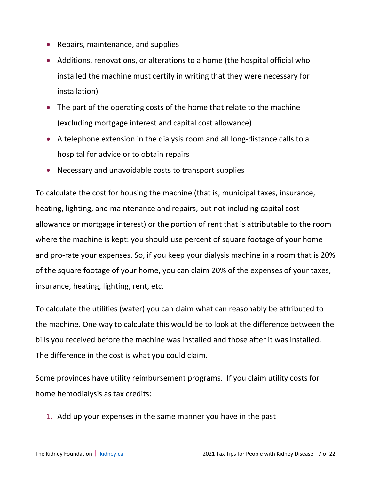- Repairs, maintenance, and supplies
- Additions, renovations, or alterations to a home (the hospital official who installed the machine must certify in writing that they were necessary for installation)
- The part of the operating costs of the home that relate to the machine (excluding mortgage interest and capital cost allowance)
- A telephone extension in the dialysis room and all long-distance calls to a hospital for advice or to obtain repairs
- Necessary and unavoidable costs to transport supplies

To calculate the cost for housing the machine (that is, municipal taxes, insurance, heating, lighting, and maintenance and repairs, but not including capital cost allowance or mortgage interest) or the portion of rent that is attributable to the room where the machine is kept: you should use percent of square footage of your home and pro-rate your expenses. So, if you keep your dialysis machine in a room that is 20% of the square footage of your home, you can claim 20% of the expenses of your taxes, insurance, heating, lighting, rent, etc.

To calculate the utilities (water) you can claim what can reasonably be attributed to the machine. One way to calculate this would be to look at the difference between the bills you received before the machine was installed and those after it was installed. The difference in the cost is what you could claim.

Some provinces have utility reimbursement programs. If you claim utility costs for home hemodialysis as tax credits:

1. Add up your expenses in the same manner you have in the past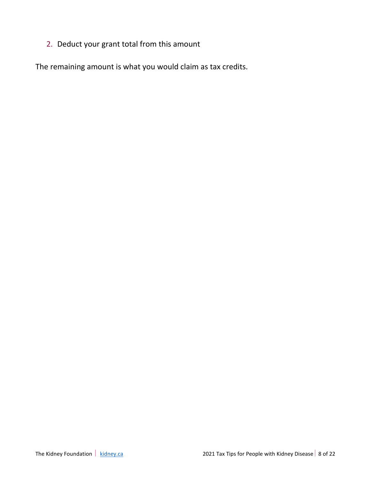2. Deduct your grant total from this amount

The remaining amount is what you would claim as tax credits.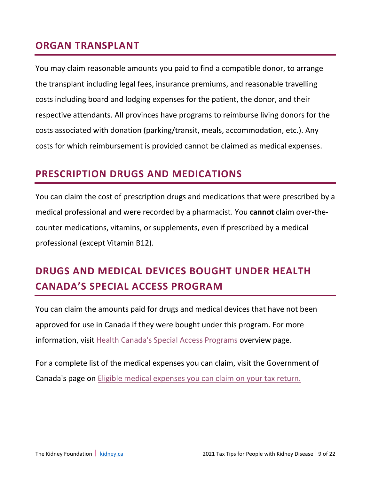### **ORGAN TRANSPLANT**

You may claim reasonable amounts you paid to find a compatible donor, to arrange the transplant including legal fees, insurance premiums, and reasonable travelling costs including board and lodging expenses for the patient, the donor, and their respective attendants. All provinces have programs to reimburse living donors for the costs associated with donation (parking/transit, meals, accommodation, etc.). Any costs for which reimbursement is provided cannot be claimed as medical expenses.

## **PRESCRIPTION DRUGS AND MEDICATIONS**

You can claim the cost of prescription drugs and medications that were prescribed by a medical professional and were recorded by a pharmacist. You **cannot** claim over-thecounter medications, vitamins, or supplements, even if prescribed by a medical professional (except Vitamin B12).

# **DRUGS AND MEDICAL DEVICES BOUGHT UNDER HEALTH CANADA'S SPECIAL ACCESS PROGRAM**

You can claim the amounts paid for drugs and medical devices that have not been approved for use in Canada if they were bought under this program. For more information, visit [Health Canada's Special Access Programs](https://www.canada.ca/en/health-canada/services/drugs-health-products/special-access.html) overview page.

For a complete list of the medical expenses you can claim, visit the Government of Canada's page on [Eligible medical expenses you can claim on your tax return.](https://www.canada.ca/en/revenue-agency/services/tax/individuals/topics/about-your-tax-return/tax-return/completing-a-tax-return/deductions-credits-expenses/lines-33099-33199-eligible-medical-expenses-you-claim-on-your-tax-return.html)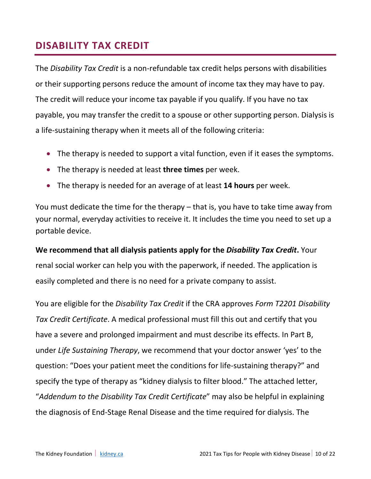## **DISABILITY TAX CREDIT**

The *Disability Tax Credit* is a non-refundable tax credit helps persons with disabilities or their supporting persons reduce the amount of income tax they may have to pay. The credit will reduce your income tax payable if you qualify. If you have no tax payable, you may transfer the credit to a spouse or other supporting person. Dialysis is a life-sustaining therapy when it meets all of the following criteria:

- The therapy is needed to support a vital function, even if it eases the symptoms.
- The therapy is needed at least **three times** per week.
- The therapy is needed for an average of at least **14 hours** per week.

You must dedicate the time for the therapy – that is, you have to take time away from your normal, everyday activities to receive it. It includes the time you need to set up a portable device.

**We recommend that all dialysis patients apply for the** *Disability Tax Credit***.** Your renal social worker can help you with the paperwork, if needed. The application is easily completed and there is no need for a private company to assist.

You are eligible for the *Disability Tax Credit* if the CRA approves *Form T2201 Disability Tax Credit Certificate*. A medical professional must fill this out and certify that you have a severe and prolonged impairment and must describe its effects. In Part B, under *Life Sustaining Therapy*, we recommend that your doctor answer 'yes' to the question: "Does your patient meet the conditions for life-sustaining therapy?" and specify the type of therapy as "kidney dialysis to filter blood." The attached letter, "*Addendum to the Disability Tax Credit Certificate*" may also be helpful in explaining the diagnosis of End-Stage Renal Disease and the time required for dialysis. The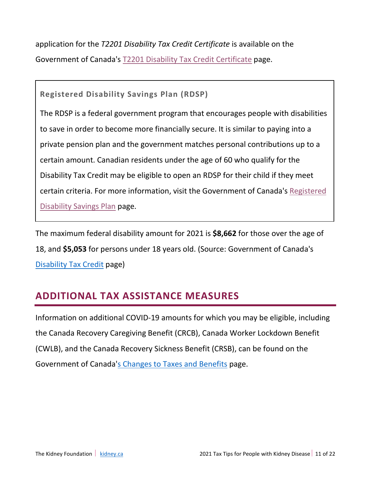application for the *T2201 Disability Tax Credit Certificate* is available on the Government of Canada's [T2201 Disability Tax Credit Certificate](https://www.canada.ca/en/revenue-agency/services/forms-publications/forms/t2201.html) page.

**Registered Disability Savings Plan (RDSP)**

The RDSP is a federal government program that encourages people with disabilities to save in order to become more financially secure. It is similar to paying into a private pension plan and the government matches personal contributions up to a certain amount. Canadian residents under the age of 60 who qualify for the Disability Tax Credit may be eligible to open an RDSP for their child if they meet certain criteria. For more information, visit the Government of Canada's [Registered](https://www.canada.ca/en/revenue-agency/services/tax/individuals/topics/registered-disability-savings-plan-rdsp/opening-rdsp.html)  [Disability Savings Plan](https://www.canada.ca/en/revenue-agency/services/tax/individuals/topics/registered-disability-savings-plan-rdsp/opening-rdsp.html) page.

The maximum federal disability amount for 2021 is **\$8,662** for those over the age of 18, and **\$5,053** for persons under 18 years old. (Source: Government of Canada's [Disability Tax Credit](https://www.canada.ca/en/revenue-agency/services/tax/individuals/segments/tax-credits-deductions-persons-disabilities/disability-tax-credit.html) page)

# **ADDITIONAL TAX ASSISTANCE MEASURES**

Information on additional COVID-19 amounts for which you may be eligible, including the Canada Recovery Caregiving Benefit (CRCB), Canada Worker Lockdown Benefit (CWLB), and the Canada Recovery Sickness Benefit (CRSB), can be found on the Government of Canada['s Changes to Taxes and Benefits](https://www.canada.ca/en/revenue-agency/campaigns/covid-19-update.html) page.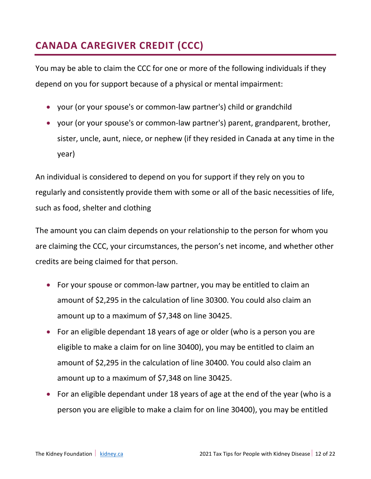# **CANADA CAREGIVER CREDIT (CCC)**

You may be able to claim the CCC for one or more of the following individuals if they depend on you for support because of a physical or mental impairment:

- your (or your spouse's or common-law partner's) child or grandchild
- your (or your spouse's or common-law partner's) parent, grandparent, brother, sister, uncle, aunt, niece, or nephew (if they resided in Canada at any time in the year)

An individual is considered to depend on you for support if they rely on you to regularly and consistently provide them with some or all of the basic necessities of life, such as food, shelter and clothing

The amount you can claim depends on your relationship to the person for whom you are claiming the CCC, your circumstances, the person's net income, and whether other credits are being claimed for that person.

- For your spouse or common-law partner, you may be entitled to claim an amount of \$2,295 in the calculation of line 30300. You could also claim an amount up to a maximum of \$7,348 on line 30425.
- For an eligible dependant 18 years of age or older (who is a person you are eligible to make a claim for on line 30400), you may be entitled to claim an amount of \$2,295 in the calculation of line 30400. You could also claim an amount up to a maximum of \$7,348 on line 30425.
- For an eligible dependant under 18 years of age at the end of the year (who is a person you are eligible to make a claim for on line 30400), you may be entitled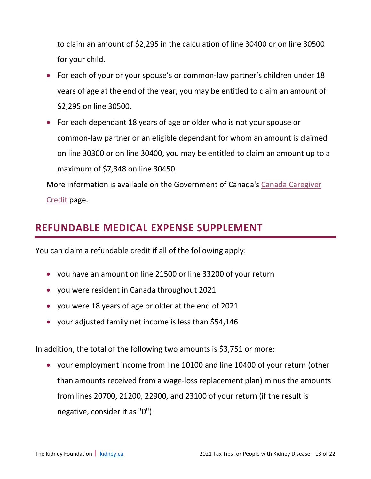to claim an amount of \$2,295 in the calculation of line 30400 or on line 30500 for your child.

- For each of your or your spouse's or common-law partner's children under 18 years of age at the end of the year, you may be entitled to claim an amount of \$2,295 on line 30500.
- For each dependant 18 years of age or older who is not your spouse or common-law partner or an eligible dependant for whom an amount is claimed on line 30300 or on line 30400, you may be entitled to claim an amount up to a maximum of \$7,348 on line 30450.

More information is available on the Government of Canada's [Canada Caregiver](https://www.canada.ca/en/revenue-agency/services/tax/individuals/topics/about-your-tax-return/tax-return/completing-a-tax-return/deductions-credits-expenses/canada-caregiver-amount.html)  [Credit](https://www.canada.ca/en/revenue-agency/services/tax/individuals/topics/about-your-tax-return/tax-return/completing-a-tax-return/deductions-credits-expenses/canada-caregiver-amount.html) page.

## **REFUNDABLE MEDICAL EXPENSE SUPPLEMENT**

You can claim a refundable credit if all of the following apply:

- you have an amount on line 21500 or line 33200 of your return
- you were resident in Canada throughout 2021
- you were 18 years of age or older at the end of 2021
- your adjusted family net income is less than \$54,146

In addition, the total of the following two amounts is \$3,751 or more:

• your employment income from line 10100 and line 10400 of your return (other than amounts received from a wage-loss replacement plan) minus the amounts from lines 20700, 21200, 22900, and 23100 of your return (if the result is negative, consider it as "0")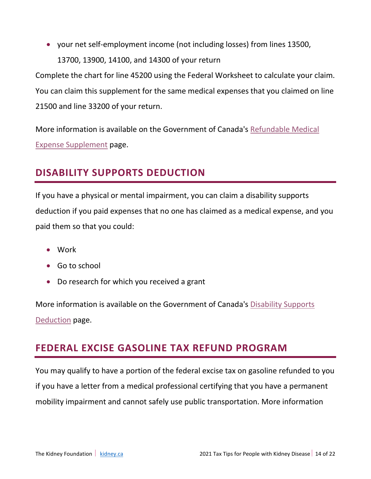• your net self-employment income (not including losses) from lines 13500, 13700, 13900, 14100, and 14300 of your return

Complete the chart for line 45200 using the Federal Worksheet to calculate your claim. You can claim this supplement for the same medical expenses that you claimed on line 21500 and line 33200 of your return.

More information is available on the Government of Canada's [Refundable Medical](https://www.canada.ca/en/revenue-agency/services/tax/individuals/topics/about-your-tax-return/tax-return/completing-a-tax-return/deductions-credits-expenses/line-45200-refundable-medical-expense-supplement.html)  [Expense Supplement](https://www.canada.ca/en/revenue-agency/services/tax/individuals/topics/about-your-tax-return/tax-return/completing-a-tax-return/deductions-credits-expenses/line-45200-refundable-medical-expense-supplement.html) page.

## **DISABILITY SUPPORTS DEDUCTION**

If you have a physical or mental impairment, you can claim a disability supports deduction if you paid expenses that no one has claimed as a medical expense, and you paid them so that you could:

- Work
- Go to school
- Do research for which you received a grant

More information is available on the Government of Canada's [Disability Supports](https://www.canada.ca/en/revenue-agency/services/tax/individuals/topics/about-your-tax-return/tax-return/completing-a-tax-return/deductions-credits-expenses/line-21500-disability-supports-deduction.html)  [Deduction](https://www.canada.ca/en/revenue-agency/services/tax/individuals/topics/about-your-tax-return/tax-return/completing-a-tax-return/deductions-credits-expenses/line-21500-disability-supports-deduction.html) page.

## **FEDERAL EXCISE GASOLINE TAX REFUND PROGRAM**

You may qualify to have a portion of the federal excise tax on gasoline refunded to you if you have a letter from a medical professional certifying that you have a permanent mobility impairment and cannot safely use public transportation. More information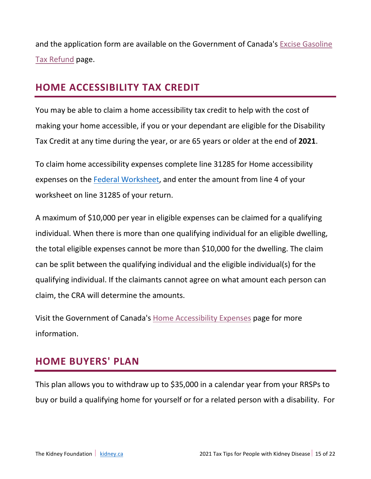and the application form are available on the Government of Canada's [Excise Gasoline](https://www.canada.ca/en/revenue-agency/services/tax/individuals/segments/tax-credits-deductions-persons-disabilities/excise-gasoline-tax-refund.html)  [Tax Refund](https://www.canada.ca/en/revenue-agency/services/tax/individuals/segments/tax-credits-deductions-persons-disabilities/excise-gasoline-tax-refund.html) page.

## **HOME ACCESSIBILITY TAX CREDIT**

You may be able to claim a home accessibility tax credit to help with the cost of making your home accessible, if you or your dependant are eligible for the Disability Tax Credit at any time during the year, or are 65 years or older at the end of **2021**.

To claim home accessibility expenses complete line 31285 for Home accessibility expenses on the [Federal Worksheet,](https://www.canada.ca/en/revenue-agency/services/forms-publications/tax-packages-years/general-income-tax-benefit-package/5000-d1.html) and enter the amount from line 4 of your worksheet on line 31285 of your return.

A maximum of \$10,000 per year in eligible expenses can be claimed for a qualifying individual. When there is more than one qualifying individual for an eligible dwelling, the total eligible expenses cannot be more than \$10,000 for the dwelling. The claim can be split between the qualifying individual and the eligible individual(s) for the qualifying individual. If the claimants cannot agree on what amount each person can claim, the CRA will determine the amounts.

Visit the Government of Canada's [Home Accessibility Expenses](https://www.canada.ca/en/revenue-agency/services/tax/individuals/topics/about-your-tax-return/tax-return/completing-a-tax-return/deductions-credits-expenses/line-31285-home-accessibility-expenses.html) page for more information.

### **HOME BUYERS' PLAN**

This plan allows you to withdraw up to \$35,000 in a calendar year from your RRSPs to buy or build a qualifying home for yourself or for a related person with a disability. For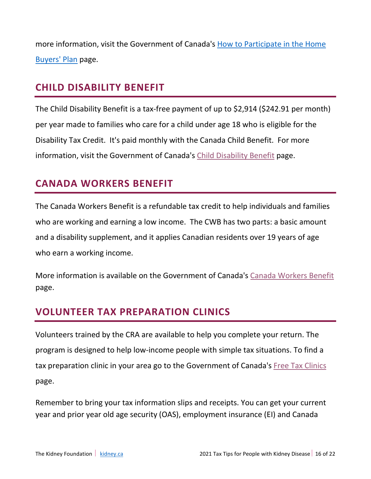more information, visit the Government of Canada's [How to Participate in the Home](https://www.canada.ca/en/revenue-agency/services/tax/individuals/topics/rrsps-related-plans/what-home-buyers-plan/participate-home-buyers-plan.html)  [Buyers' Plan](https://www.canada.ca/en/revenue-agency/services/tax/individuals/topics/rrsps-related-plans/what-home-buyers-plan/participate-home-buyers-plan.html) page.

## **CHILD DISABILITY BENEFIT**

The Child Disability Benefit is a tax-free payment of up to \$2,914 (\$242.91 per month) per year made to families who care for a child under age 18 who is eligible for the Disability Tax Credit. It's paid monthly with the Canada Child Benefit. For more information, visit the Government of Canada's [Child Disability Benefit](https://www.canada.ca/en/revenue-agency/services/child-family-benefits/child-disability-benefit.html) page.

## **CANADA WORKERS BENEFIT**

The Canada Workers Benefit is a refundable tax credit to help individuals and families who are working and earning a low income. The CWB has two parts: a basic amount and a disability supplement, and it applies Canadian residents over 19 years of age who earn a working income.

More information is available on the Government of Canada's [Canada Workers Benefit](https://www.canada.ca/en/revenue-agency/services/child-family-benefits/canada-workers-benefit.html) page.

## **VOLUNTEER TAX PREPARATION CLINICS**

Volunteers trained by the CRA are available to help you complete your return. The program is designed to help low-income people with simple tax situations. To find a tax preparation clinic in your area go to the Government of Canada's [Free Tax Clinics](https://www.canada.ca/en/revenue-agency/services/tax/individuals/community-volunteer-income-tax-program.html) page.

Remember to bring your tax information slips and receipts. You can get your current year and prior year old age security (OAS), employment insurance (EI) and Canada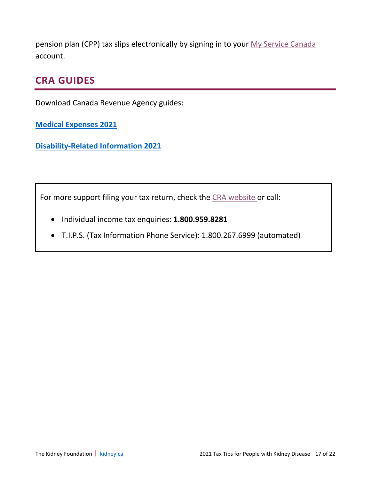pension plan (CPP) tax slips electronically by signing in to your [My Service Canada](https://www.canada.ca/en/employment-social-development/services/my-account.html) account.

### **CRA GUIDES**

Download Canada Revenue Agency guides:

**[Medical Expenses 2021](https://www.canada.ca/en/revenue-agency/services/forms-publications/publications/rc4065/medical-expenses.html)**

**[Disability-Related Information 2021](https://www.canada.ca/en/revenue-agency/services/forms-publications/publications/rc4064/disability-related-information.html)**

For more support filing your tax return, check the [CRA website](https://www.canada.ca/en/revenue-agency.html) or call:

- Individual income tax enquiries: **1.800.959.8281**
- T.I.P.S. (Tax Information Phone Service): 1.800.267.6999 (automated)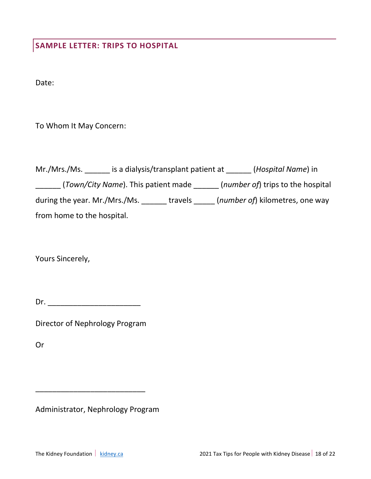**SAMPLE LETTER: TRIPS TO HOSPITAL**

Date:

To Whom It May Concern:

| Mr./Mrs./Ms.                        | is a dialysis/transplant patient at | (Hospital Name) in                         |
|-------------------------------------|-------------------------------------|--------------------------------------------|
| (Town/City Name). This patient made |                                     | ( <i>number of</i> ) trips to the hospital |
| during the year. Mr./Mrs./Ms.       | travels                             | ( <i>number of</i> ) kilometres, one way   |
| from home to the hospital.          |                                     |                                            |

Yours Sincerely,

 $Dr.$ 

Director of Nephrology Program

Or

Administrator, Nephrology Program

\_\_\_\_\_\_\_\_\_\_\_\_\_\_\_\_\_\_\_\_\_\_\_\_\_\_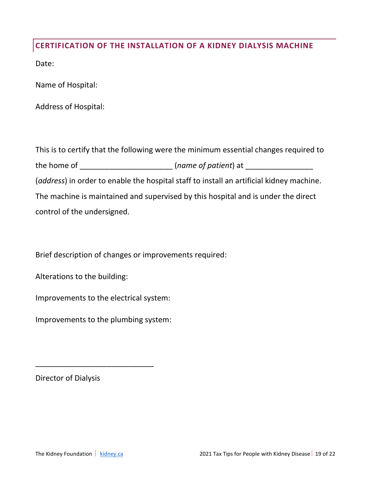#### **CERTIFICATION OF THE INSTALLATION OF A KIDNEY DIALYSIS MACHINE**

Date:

Name of Hospital:

Address of Hospital:

This is to certify that the following were the minimum essential changes required to the home of \_\_\_\_\_\_\_\_\_\_\_\_\_\_\_\_\_\_\_\_\_\_\_\_\_\_ (*name of patient*) at \_\_\_\_\_\_\_\_\_\_\_\_\_\_\_\_\_\_\_\_ (*address*) in order to enable the hospital staff to install an artificial kidney machine. The machine is maintained and supervised by this hospital and is under the direct control of the undersigned.

Brief description of changes or improvements required:

Alterations to the building:

Improvements to the electrical system:

Improvements to the plumbing system:

\_\_\_\_\_\_\_\_\_\_\_\_\_\_\_\_\_\_\_\_\_\_\_\_\_\_\_\_

Director of Dialysis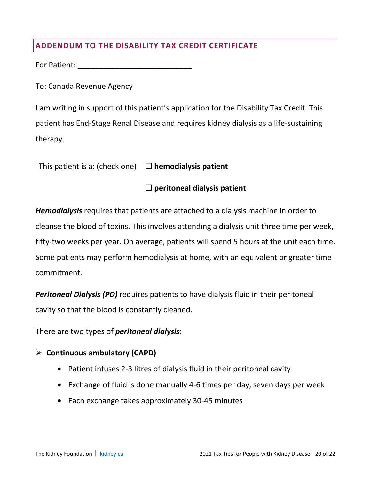### **ADDENDUM TO THE DISABILITY TAX CREDIT CERTIFICATE**

For Patient: **Example 20** 

To: Canada Revenue Agency

I am writing in support of this patient's application for the Disability Tax Credit. This patient has End-Stage Renal Disease and requires kidney dialysis as a life-sustaining therapy.

| This patient is a: (check one) | $\Box$ hemodialysis patient |
|--------------------------------|-----------------------------|
|--------------------------------|-----------------------------|

### **peritoneal dialysis patient**

*Hemodialysis* requires that patients are attached to a dialysis machine in order to cleanse the blood of toxins. This involves attending a dialysis unit three time per week, fifty-two weeks per year. On average, patients will spend 5 hours at the unit each time. Some patients may perform hemodialysis at home, with an equivalent or greater time commitment.

*Peritoneal Dialysis (PD)* requires patients to have dialysis fluid in their peritoneal cavity so that the blood is constantly cleaned.

There are two types of *peritoneal dialysis*:

#### **Continuous ambulatory (CAPD)**

- Patient infuses 2-3 litres of dialysis fluid in their peritoneal cavity
- Exchange of fluid is done manually 4-6 times per day, seven days per week
- Each exchange takes approximately 30-45 minutes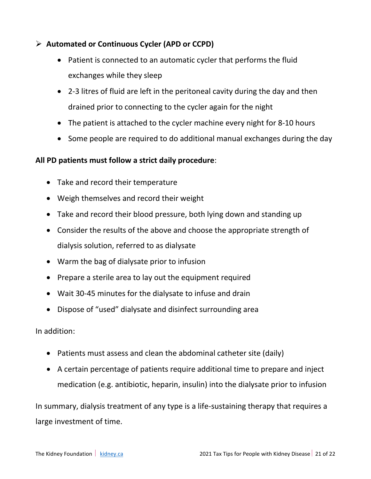### **Automated or Continuous Cycler (APD or CCPD)**

- Patient is connected to an automatic cycler that performs the fluid exchanges while they sleep
- 2-3 litres of fluid are left in the peritoneal cavity during the day and then drained prior to connecting to the cycler again for the night
- The patient is attached to the cycler machine every night for 8-10 hours
- Some people are required to do additional manual exchanges during the day

#### **All PD patients must follow a strict daily procedure**:

- Take and record their temperature
- Weigh themselves and record their weight
- Take and record their blood pressure, both lying down and standing up
- Consider the results of the above and choose the appropriate strength of dialysis solution, referred to as dialysate
- Warm the bag of dialysate prior to infusion
- Prepare a sterile area to lay out the equipment required
- Wait 30-45 minutes for the dialysate to infuse and drain
- Dispose of "used" dialysate and disinfect surrounding area

In addition:

- Patients must assess and clean the abdominal catheter site (daily)
- A certain percentage of patients require additional time to prepare and inject medication (e.g. antibiotic, heparin, insulin) into the dialysate prior to infusion

In summary, dialysis treatment of any type is a life-sustaining therapy that requires a large investment of time.